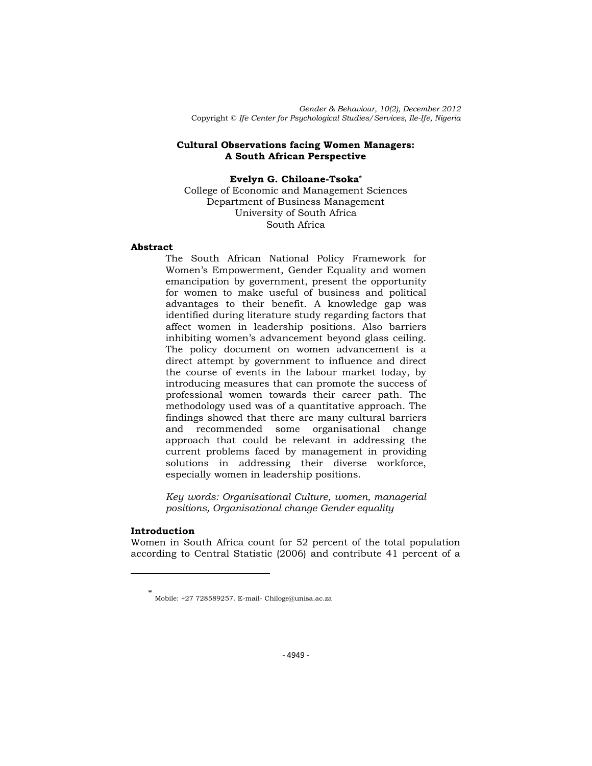*Gender & Behaviour, 10(2), December 2012* Copyright © *Ife Center for Psychological Studies/Services, Ile-Ife, Nigeria*

### **Cultural Observations facing Women Managers: A South African Perspective**

**Evelyn G. Chiloane-Tsoka\*** College of Economic and Management Sciences Department of Business Management University of South Africa

# South Africa

### **Abstract**

The South African National Policy Framework for Women's Empowerment, Gender Equality and women emancipation by government, present the opportunity for women to make useful of business and political advantages to their benefit. A knowledge gap was identified during literature study regarding factors that affect women in leadership positions. Also barriers inhibiting women's advancement beyond glass ceiling. The policy document on women advancement is a direct attempt by government to influence and direct the course of events in the labour market today, by introducing measures that can promote the success of professional women towards their career path. The methodology used was of a quantitative approach. The findings showed that there are many cultural barriers and recommended some organisational change approach that could be relevant in addressing the current problems faced by management in providing solutions in addressing their diverse workforce, especially women in leadership positions.

*Key words: Organisational Culture, women, managerial positions, Organisational change Gender equality*

### **Introduction**

 $\overline{\phantom{a}}$ 

Women in South Africa count for 52 percent of the total population according to Central Statistic (2006) and contribute 41 percent of a

<sup>\*</sup> Mobile: +27 728589257. E-mail- Chiloge@unisa.ac.za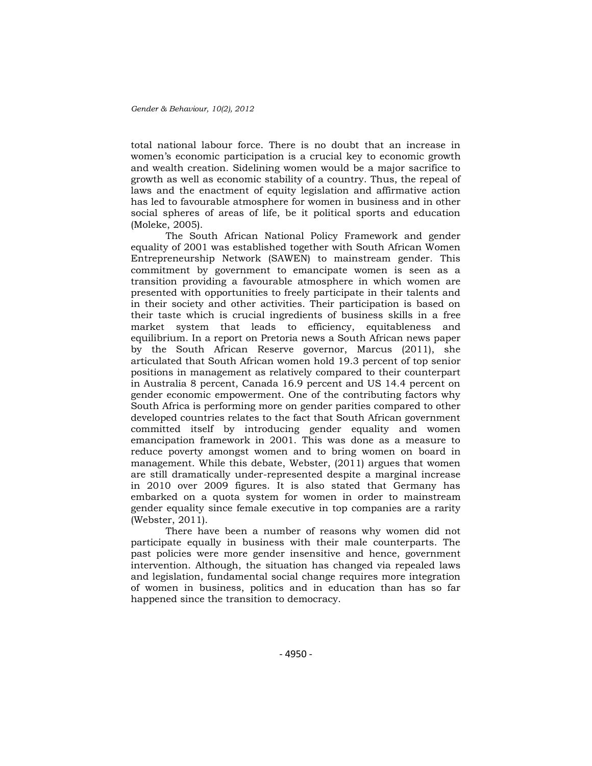total national labour force. There is no doubt that an increase in women's economic participation is a crucial key to economic growth and wealth creation. Sidelining women would be a major sacrifice to growth as well as economic stability of a country. Thus, the repeal of laws and the enactment of equity legislation and affirmative action has led to favourable atmosphere for women in business and in other social spheres of areas of life, be it political sports and education (Moleke, 2005).

The South African National Policy Framework and gender equality of 2001 was established together with South African Women Entrepreneurship Network (SAWEN) to mainstream gender. This commitment by government to emancipate women is seen as a transition providing a favourable atmosphere in which women are presented with opportunities to freely participate in their talents and in their society and other activities. Their participation is based on their taste which is crucial ingredients of business skills in a free market system that leads to efficiency, equitableness and equilibrium. In a report on Pretoria news a South African news paper by the South African Reserve governor, Marcus (2011), she articulated that South African women hold 19.3 percent of top senior positions in management as relatively compared to their counterpart in Australia 8 percent, Canada 16.9 percent and US 14.4 percent on gender economic empowerment. One of the contributing factors why South Africa is performing more on gender parities compared to other developed countries relates to the fact that South African government committed itself by introducing gender equality and women emancipation framework in 2001. This was done as a measure to reduce poverty amongst women and to bring women on board in management. While this debate, Webster, (2011) argues that women are still dramatically under-represented despite a marginal increase in 2010 over 2009 figures. It is also stated that Germany has embarked on a quota system for women in order to mainstream gender equality since female executive in top companies are a rarity (Webster, 2011).

There have been a number of reasons why women did not participate equally in business with their male counterparts. The past policies were more gender insensitive and hence, government intervention. Although, the situation has changed via repealed laws and legislation, fundamental social change requires more integration of women in business, politics and in education than has so far happened since the transition to democracy.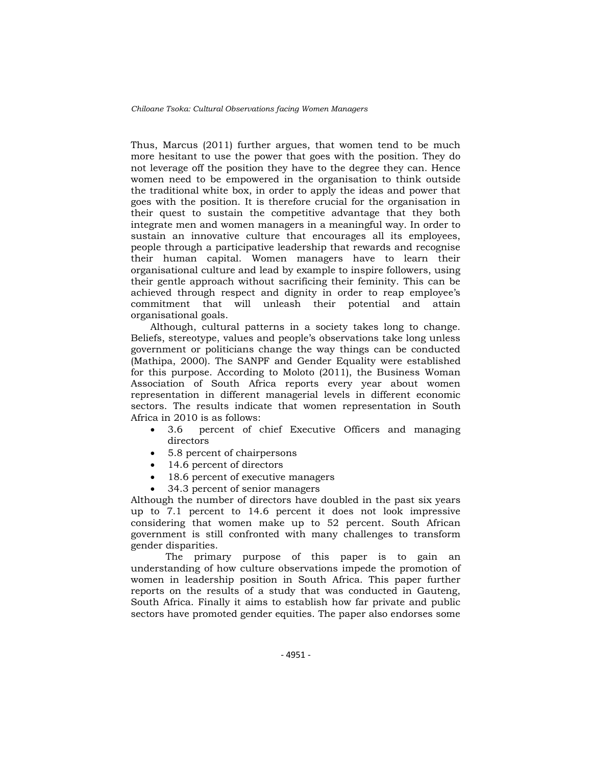Thus, Marcus (2011) further argues, that women tend to be much more hesitant to use the power that goes with the position. They do not leverage off the position they have to the degree they can. Hence women need to be empowered in the organisation to think outside the traditional white box, in order to apply the ideas and power that goes with the position. It is therefore crucial for the organisation in their quest to sustain the competitive advantage that they both integrate men and women managers in a meaningful way. In order to sustain an innovative culture that encourages all its employees, people through a participative leadership that rewards and recognise their human capital. Women managers have to learn their organisational culture and lead by example to inspire followers, using their gentle approach without sacrificing their feminity. This can be achieved through respect and dignity in order to reap employee's commitment that will unleash their potential and attain organisational goals.

Although, cultural patterns in a society takes long to change. Beliefs, stereotype, values and people's observations take long unless government or politicians change the way things can be conducted (Mathipa, 2000). The SANPF and Gender Equality were established for this purpose. According to Moloto (2011), the Business Woman Association of South Africa reports every year about women representation in different managerial levels in different economic sectors. The results indicate that women representation in South Africa in 2010 is as follows:

- 3.6 percent of chief Executive Officers and managing directors
- 5.8 percent of chairpersons
- 14.6 percent of directors
- 18.6 percent of executive managers
- 34.3 percent of senior managers

Although the number of directors have doubled in the past six years up to 7.1 percent to 14.6 percent it does not look impressive considering that women make up to 52 percent. South African government is still confronted with many challenges to transform gender disparities.

The primary purpose of this paper is to gain an understanding of how culture observations impede the promotion of women in leadership position in South Africa. This paper further reports on the results of a study that was conducted in Gauteng, South Africa. Finally it aims to establish how far private and public sectors have promoted gender equities. The paper also endorses some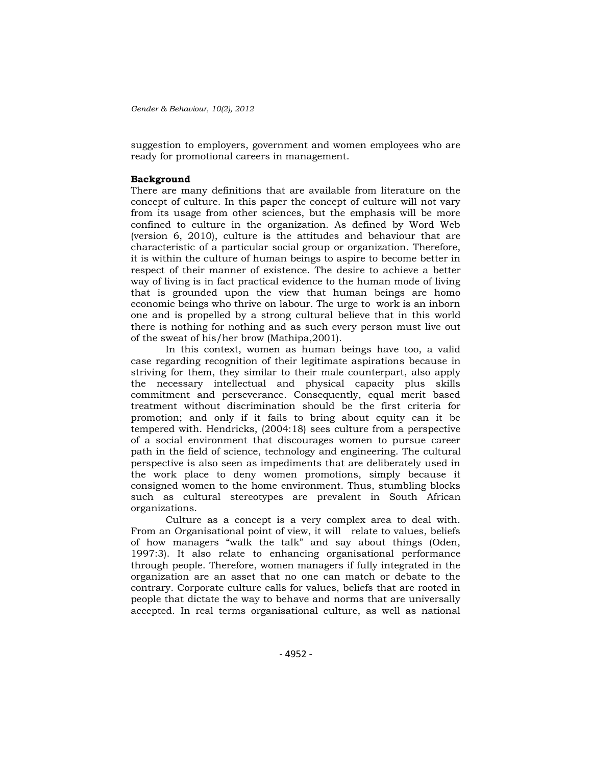suggestion to employers, government and women employees who are ready for promotional careers in management.

### **Background**

There are many definitions that are available from literature on the concept of culture. In this paper the concept of culture will not vary from its usage from other sciences, but the emphasis will be more confined to culture in the organization. As defined by Word Web (version 6, 2010), culture is the attitudes and behaviour that are characteristic of a particular social group or organization. Therefore, it is within the culture of human beings to aspire to become better in respect of their manner of existence. The desire to achieve a better way of living is in fact practical evidence to the human mode of living that is grounded upon the view that human beings are homo economic beings who thrive on labour. The urge to work is an inborn one and is propelled by a strong cultural believe that in this world there is nothing for nothing and as such every person must live out of the sweat of his/her brow (Mathipa,2001).

In this context, women as human beings have too, a valid case regarding recognition of their legitimate aspirations because in striving for them, they similar to their male counterpart, also apply the necessary intellectual and physical capacity plus skills commitment and perseverance. Consequently, equal merit based treatment without discrimination should be the first criteria for promotion; and only if it fails to bring about equity can it be tempered with. Hendricks, (2004:18) sees culture from a perspective of a social environment that discourages women to pursue career path in the field of science, technology and engineering. The cultural perspective is also seen as impediments that are deliberately used in the work place to deny women promotions, simply because it consigned women to the home environment. Thus, stumbling blocks such as cultural stereotypes are prevalent in South African organizations.

Culture as a concept is a very complex area to deal with. From an Organisational point of view, it will relate to values, beliefs of how managers "walk the talk" and say about things (Oden, 1997:3). It also relate to enhancing organisational performance through people. Therefore, women managers if fully integrated in the organization are an asset that no one can match or debate to the contrary. Corporate culture calls for values, beliefs that are rooted in people that dictate the way to behave and norms that are universally accepted. In real terms organisational culture, as well as national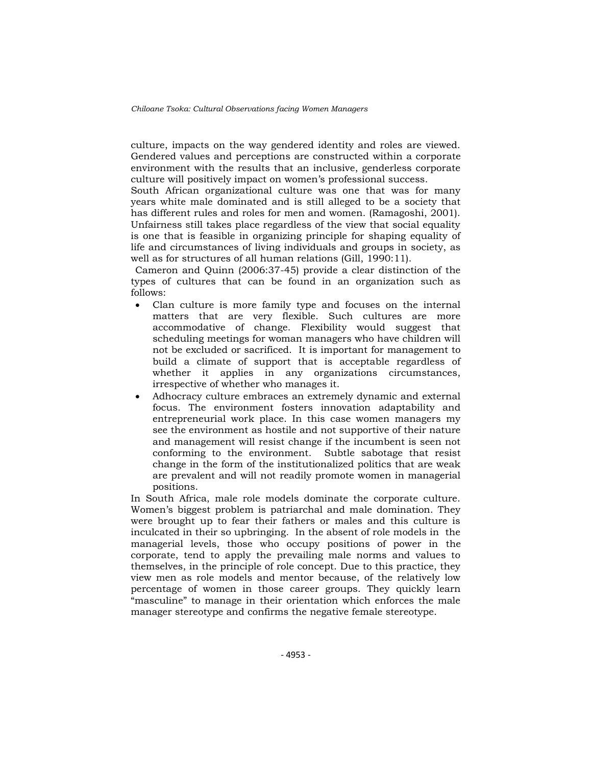culture, impacts on the way gendered identity and roles are viewed. Gendered values and perceptions are constructed within a corporate environment with the results that an inclusive, genderless corporate culture will positively impact on women's professional success.

South African organizational culture was one that was for many years white male dominated and is still alleged to be a society that has different rules and roles for men and women. (Ramagoshi, 2001). Unfairness still takes place regardless of the view that social equality is one that is feasible in organizing principle for shaping equality of life and circumstances of living individuals and groups in society, as well as for structures of all human relations (Gill, 1990:11).

Cameron and Quinn (2006:37-45) provide a clear distinction of the types of cultures that can be found in an organization such as follows:

- Clan culture is more family type and focuses on the internal matters that are very flexible. Such cultures are more accommodative of change. Flexibility would suggest that scheduling meetings for woman managers who have children will not be excluded or sacrificed. It is important for management to build a climate of support that is acceptable regardless of whether it applies in any organizations circumstances, irrespective of whether who manages it.
- Adhocracy culture embraces an extremely dynamic and external focus. The environment fosters innovation adaptability and entrepreneurial work place. In this case women managers my see the environment as hostile and not supportive of their nature and management will resist change if the incumbent is seen not conforming to the environment. Subtle sabotage that resist change in the form of the institutionalized politics that are weak are prevalent and will not readily promote women in managerial positions.

In South Africa, male role models dominate the corporate culture. Women's biggest problem is patriarchal and male domination. They were brought up to fear their fathers or males and this culture is inculcated in their so upbringing. In the absent of role models in the managerial levels, those who occupy positions of power in the corporate, tend to apply the prevailing male norms and values to themselves, in the principle of role concept. Due to this practice, they view men as role models and mentor because, of the relatively low percentage of women in those career groups. They quickly learn "masculine" to manage in their orientation which enforces the male manager stereotype and confirms the negative female stereotype.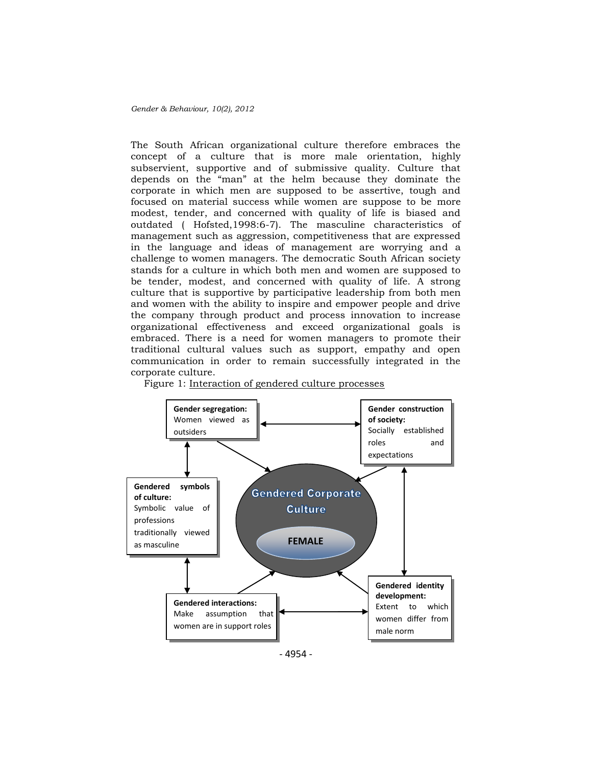The South African organizational culture therefore embraces the concept of a culture that is more male orientation, highly subservient, supportive and of submissive quality. Culture that depends on the "man" at the helm because they dominate the corporate in which men are supposed to be assertive, tough and focused on material success while women are suppose to be more modest, tender, and concerned with quality of life is biased and outdated ( Hofsted,1998:6-7). The masculine characteristics of management such as aggression, competitiveness that are expressed in the language and ideas of management are worrying and a challenge to women managers. The democratic South African society stands for a culture in which both men and women are supposed to be tender, modest, and concerned with quality of life. A strong culture that is supportive by participative leadership from both men and women with the ability to inspire and empower people and drive the company through product and process innovation to increase organizational effectiveness and exceed organizational goals is embraced. There is a need for women managers to promote their traditional cultural values such as support, empathy and open communication in order to remain successfully integrated in the corporate culture.



Figure 1: Interaction of gendered culture processes

- 4954 -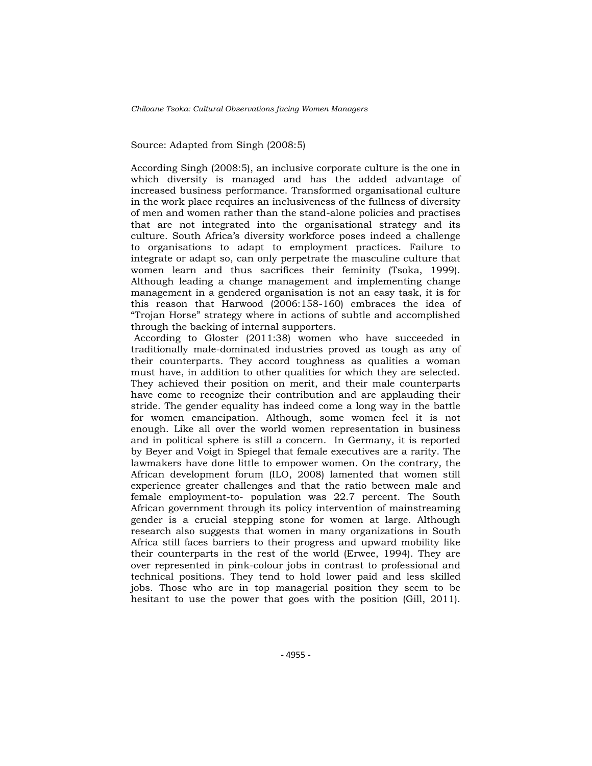Source: Adapted from Singh (2008:5)

According Singh (2008:5), an inclusive corporate culture is the one in which diversity is managed and has the added advantage of increased business performance. Transformed organisational culture in the work place requires an inclusiveness of the fullness of diversity of men and women rather than the stand-alone policies and practises that are not integrated into the organisational strategy and its culture. South Africa's diversity workforce poses indeed a challenge to organisations to adapt to employment practices. Failure to integrate or adapt so, can only perpetrate the masculine culture that women learn and thus sacrifices their feminity (Tsoka, 1999). Although leading a change management and implementing change management in a gendered organisation is not an easy task, it is for this reason that Harwood (2006:158-160) embraces the idea of ―Trojan Horse‖ strategy where in actions of subtle and accomplished through the backing of internal supporters.

According to Gloster (2011:38) women who have succeeded in traditionally male-dominated industries proved as tough as any of their counterparts. They accord toughness as qualities a woman must have, in addition to other qualities for which they are selected. They achieved their position on merit, and their male counterparts have come to recognize their contribution and are applauding their stride. The gender equality has indeed come a long way in the battle for women emancipation. Although, some women feel it is not enough. Like all over the world women representation in business and in political sphere is still a concern. In Germany, it is reported by Beyer and Voigt in Spiegel that female executives are a rarity. The lawmakers have done little to empower women. On the contrary, the African development forum (ILO, 2008) lamented that women still experience greater challenges and that the ratio between male and female employment-to- population was 22.7 percent. The South African government through its policy intervention of mainstreaming gender is a crucial stepping stone for women at large. Although research also suggests that women in many organizations in South Africa still faces barriers to their progress and upward mobility like their counterparts in the rest of the world (Erwee, 1994). They are over represented in pink-colour jobs in contrast to professional and technical positions. They tend to hold lower paid and less skilled jobs. Those who are in top managerial position they seem to be hesitant to use the power that goes with the position (Gill, 2011).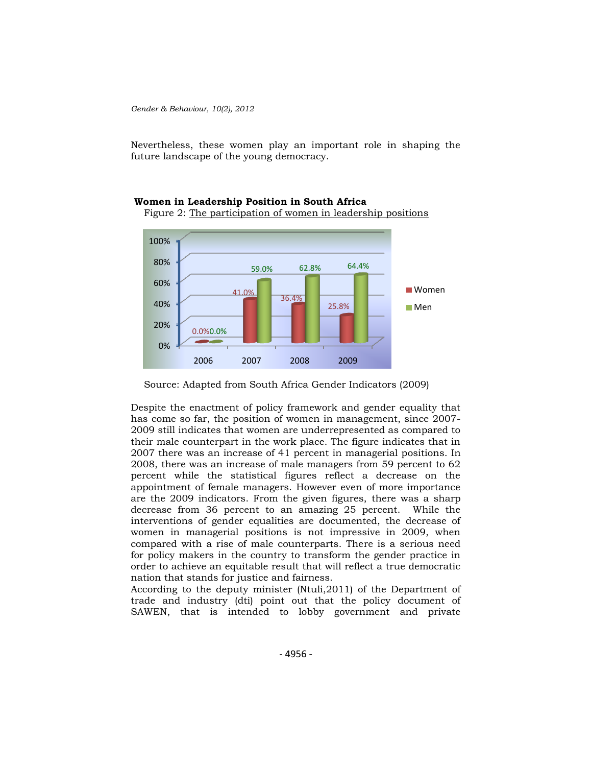Nevertheless, these women play an important role in shaping the future landscape of the young democracy.





Despite the enactment of policy framework and gender equality that has come so far, the position of women in management, since 2007- 2009 still indicates that women are underrepresented as compared to their male counterpart in the work place. The figure indicates that in 2007 there was an increase of 41 percent in managerial positions. In 2008, there was an increase of male managers from 59 percent to 62 percent while the statistical figures reflect a decrease on the appointment of female managers. However even of more importance are the 2009 indicators. From the given figures, there was a sharp decrease from 36 percent to an amazing 25 percent. While the interventions of gender equalities are documented, the decrease of women in managerial positions is not impressive in 2009, when compared with a rise of male counterparts. There is a serious need for policy makers in the country to transform the gender practice in order to achieve an equitable result that will reflect a true democratic nation that stands for justice and fairness.

According to the deputy minister (Ntuli,2011) of the Department of trade and industry (dti) point out that the policy document of SAWEN, that is intended to lobby government and private

Source: Adapted from South Africa Gender Indicators (2009)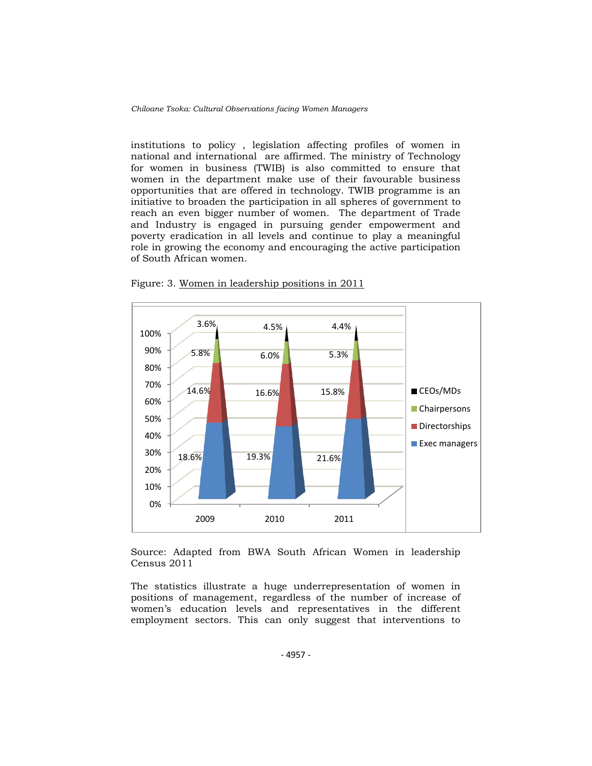institutions to policy , legislation affecting profiles of women in national and international are affirmed. The ministry of Technology for women in business (TWIB) is also committed to ensure that women in the department make use of their favourable business opportunities that are offered in technology. TWIB programme is an initiative to broaden the participation in all spheres of government to reach an even bigger number of women. The department of Trade and Industry is engaged in pursuing gender empowerment and poverty eradication in all levels and continue to play a meaningful role in growing the economy and encouraging the active participation of South African women.



Figure: 3. Women in leadership positions in 2011

Source: Adapted from BWA South African Women in leadership Census 2011

The statistics illustrate a huge underrepresentation of women in positions of management, regardless of the number of increase of women's education levels and representatives in the different employment sectors. This can only suggest that interventions to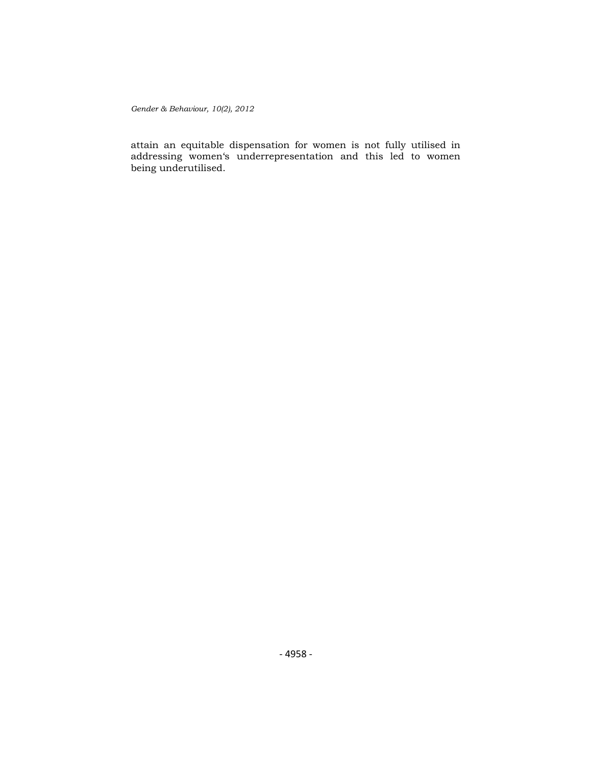attain an equitable dispensation for women is not fully utilised in addressing women‗s underrepresentation and this led to women being underutilised.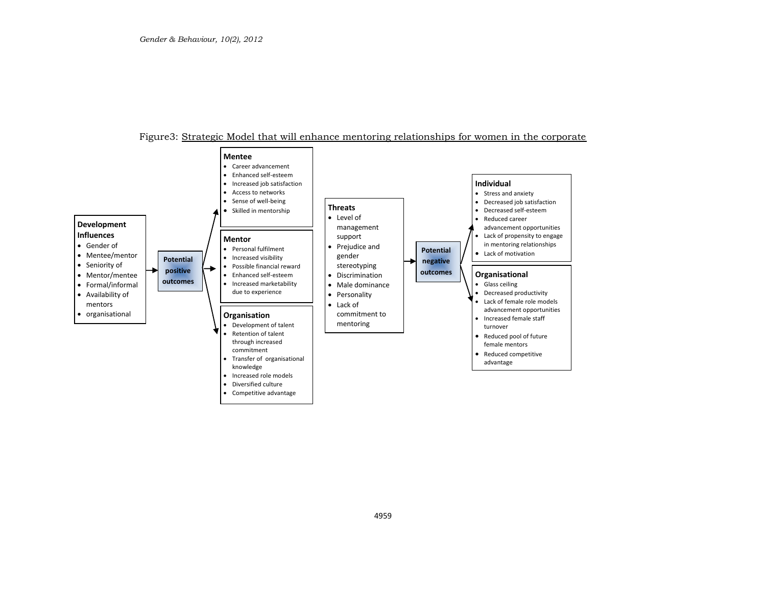### Figure3: Strategic Model that will enhance mentoring relationships for women in the corporate

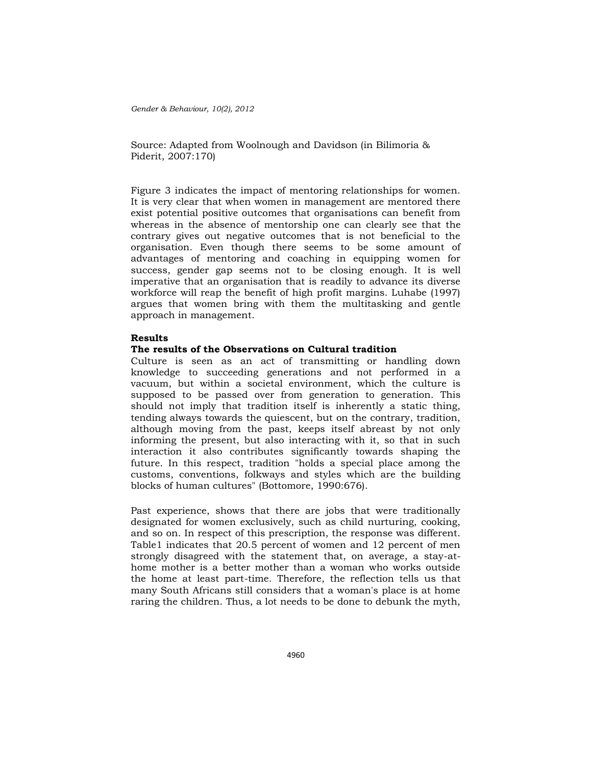Source: Adapted from Woolnough and Davidson (in Bilimoria & Piderit, 2007:170)

Figure 3 indicates the impact of mentoring relationships for women. It is very clear that when women in management are mentored there exist potential positive outcomes that organisations can benefit from whereas in the absence of mentorship one can clearly see that the contrary gives out negative outcomes that is not beneficial to the organisation. Even though there seems to be some amount of advantages of mentoring and coaching in equipping women for success, gender gap seems not to be closing enough. It is well imperative that an organisation that is readily to advance its diverse workforce will reap the benefit of high profit margins. Luhabe (1997) argues that women bring with them the multitasking and gentle approach in management.

### **Results**

#### **The results of the Observations on Cultural tradition**

Culture is seen as an act of transmitting or handling down knowledge to succeeding generations and not performed in a vacuum, but within a societal environment, which the culture is supposed to be passed over from generation to generation. This should not imply that tradition itself is inherently a static thing, tending always towards the quiescent, but on the contrary, tradition, although moving from the past, keeps itself abreast by not only informing the present, but also interacting with it, so that in such interaction it also contributes significantly towards shaping the future. In this respect, tradition "holds a special place among the customs, conventions, folkways and styles which are the building blocks of human cultures" (Bottomore, 1990:676).

Past experience, shows that there are jobs that were traditionally designated for women exclusively, such as child nurturing, cooking, and so on. In respect of this prescription, the response was different. Table1 indicates that 20.5 percent of women and 12 percent of men strongly disagreed with the statement that, on average, a stay-athome mother is a better mother than a woman who works outside the home at least part-time. Therefore, the reflection tells us that many South Africans still considers that a woman's place is at home raring the children. Thus, a lot needs to be done to debunk the myth,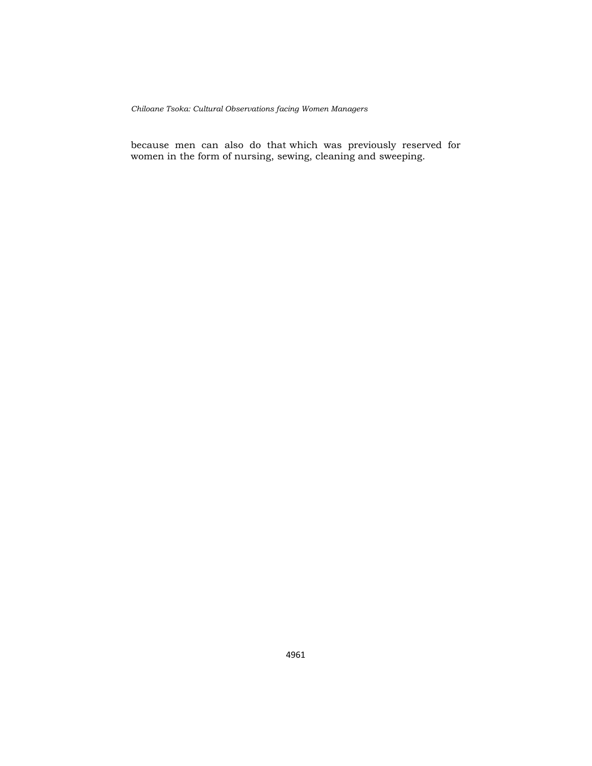because men can also do that which was previously reserved for women in the form of nursing, sewing, cleaning and sweeping.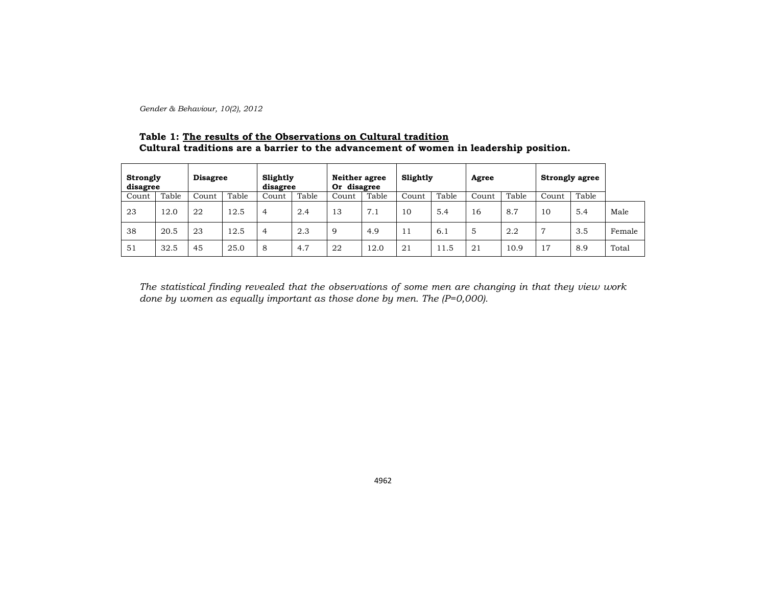## **Table 1: The results of the Observations on Cultural tradition Cultural traditions are a barrier to the advancement of women in leadership position.**

| Strongly<br>disagree |       | <b>Disagree</b> |       | Slightly<br>disagree |       | Neither agree<br>Or disagree |       | Slightly |       | Agree |       | <b>Strongly agree</b>     |       |        |
|----------------------|-------|-----------------|-------|----------------------|-------|------------------------------|-------|----------|-------|-------|-------|---------------------------|-------|--------|
| Count                | Table | Count           | Table | Count                | Table | Count                        | Table | Count    | Table | Count | Table | Count                     | Table |        |
| 23                   | 12.0  | 22              | 12.5  | $\overline{4}$       | 2.4   | 13                           | 7.1   | 10       | 5.4   | 16    | 8.7   | 10                        | 5.4   | Male   |
| 38                   | 20.5  | 23              | 12.5  | $\overline{4}$       | 2.3   | 9                            | 4.9   | -44      | 6.1   | 5     | 2.2   | 7                         | 3.5   | Female |
| 51                   | 32.5  | 45              | 25.0  | 8                    | 4.7   | 22                           | 12.0  | 21       | 11.5  | 21    | 10.9  | $\overline{ }$<br>$\perp$ | 8.9   | Total  |

*The statistical finding revealed that the observations of some men are changing in that they view work done by women as equally important as those done by men. The (P=0,000).*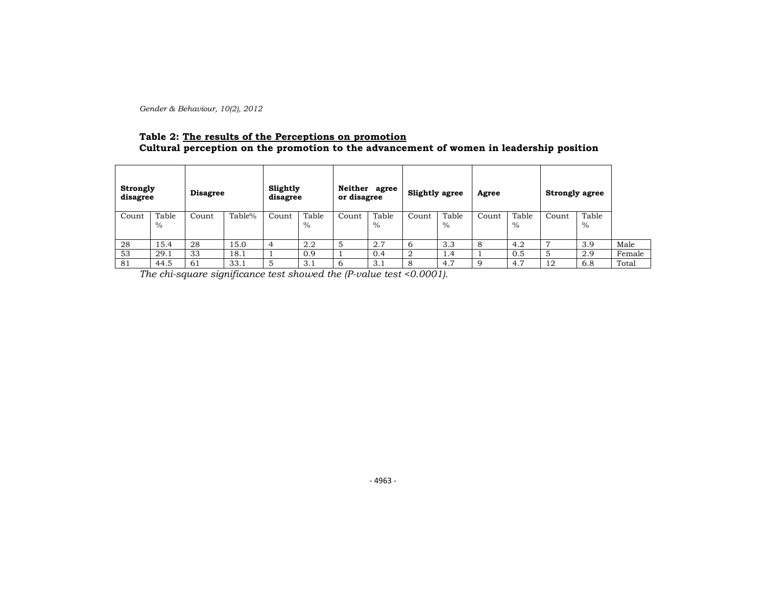## **Table 2: The results of the Perceptions on promotion Cultural perception on the promotion to the advancement of women in leadership position**

|       | Strongly<br><b>Disagree</b><br>disagree |       | Slightly<br>disagree |       | Neither agree<br>or disagree |       | <b>Slightly agree</b> |       | Agree         |       | <b>Strongly agree</b> |       |               |        |
|-------|-----------------------------------------|-------|----------------------|-------|------------------------------|-------|-----------------------|-------|---------------|-------|-----------------------|-------|---------------|--------|
| Count | Table<br>$\%$                           | Count | Table%               | Count | Table<br>$\%$                | Count | Table<br>$\%$         | Count | Table<br>$\%$ | Count | Table<br>$\%$         | Count | Table<br>$\%$ |        |
| 28    | 15.4                                    | 28    | 15.0                 | 4     | 2.2                          | 5     | 2.7                   |       | 3.3           |       | 4.2                   | г.    | 3.9           | Male   |
| 53    | 29.1                                    | 33    | 18.1                 |       | 0.9                          |       | 0.4                   |       | 1.4           |       | 0.5                   | 5     | 2.9           | Female |
| 81    | 44.5                                    | 61    | 33.1                 | 5     | 3.1                          | 6     | 3.1                   |       | 4.7           |       | 4.7                   | 12    | 6.8           | Total  |

*The chi-square significance test showed the (P-value test <0.0001).*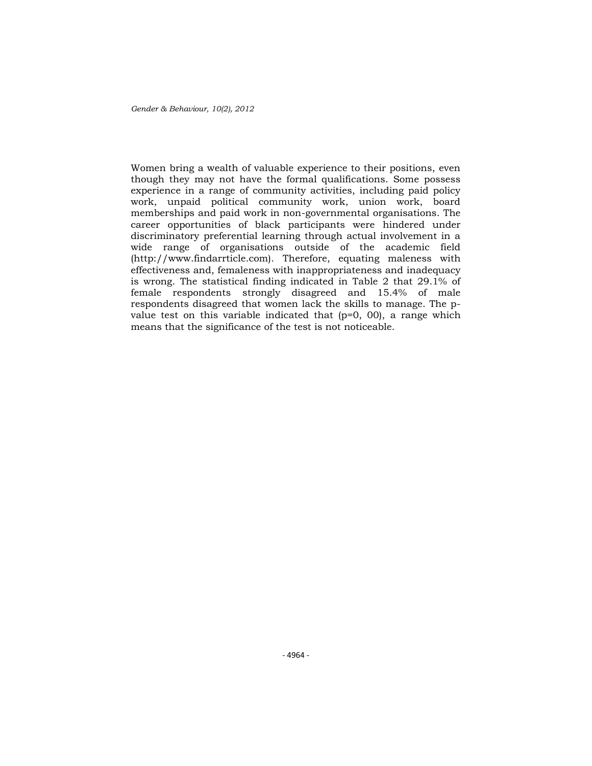Women bring a wealth of valuable experience to their positions, even though they may not have the formal qualifications. Some possess experience in a range of community activities, including paid policy work, unpaid political community work, union work, board memberships and paid work in non-governmental organisations. The career opportunities of black participants were hindered under discriminatory preferential learning through actual involvement in a wide range of organisations outside of the academic field (http://www.findarrticle.com). Therefore, equating maleness with effectiveness and, femaleness with inappropriateness and inadequacy is wrong. The statistical finding indicated in Table 2 that 29.1% of female respondents strongly disagreed and 15.4% of male respondents disagreed that women lack the skills to manage. The pvalue test on this variable indicated that  $(p=0, 00)$ , a range which means that the significance of the test is not noticeable.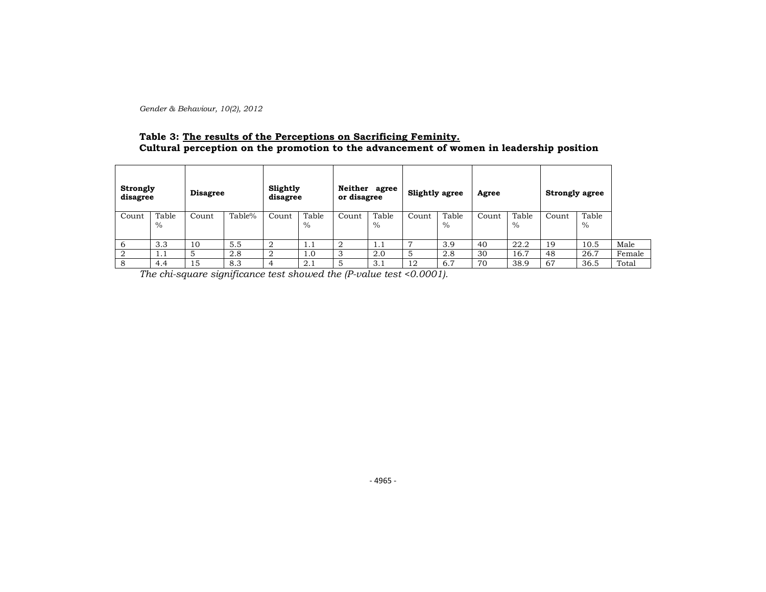## **Table 3: The results of the Perceptions on Sacrificing Feminity. Cultural perception on the promotion to the advancement of women in leadership position**

| <b>Strongly</b><br>disagree |               | <b>Disagree</b> |        | Slightly<br>disagree |                        | Neither agree<br>or disagree |               | <b>Slightly agree</b> |               | Agree |               | <b>Strongly agree</b> |               |        |
|-----------------------------|---------------|-----------------|--------|----------------------|------------------------|------------------------------|---------------|-----------------------|---------------|-------|---------------|-----------------------|---------------|--------|
| Count                       | Table<br>$\%$ | Count           | Table% | Count                | Table<br>$\frac{0}{0}$ | Count                        | Table<br>$\%$ | Count                 | Table<br>$\%$ | Count | Table<br>$\%$ | Count                 | Table<br>$\%$ |        |
| b                           | 3.3           | 10              | 5.5    |                      | 1.1                    |                              | 1.1           |                       | 3.9           | 40    | 22.2          | 19                    | 10.5          | Male   |
|                             | 1.1           |                 | 2.8    |                      | 0.1                    |                              | 2.0           |                       | 2.8           | 30    | 16.7          | 48                    | 26.7          | Female |
| 8                           | 4.4           | 15              | 8.3    |                      | 2.1                    |                              | 3.1           | 12                    | 6.7           | 70    | 38.9          | 67                    | 36.5          | Total  |

*The chi-square significance test showed the (P-value test <0.0001).*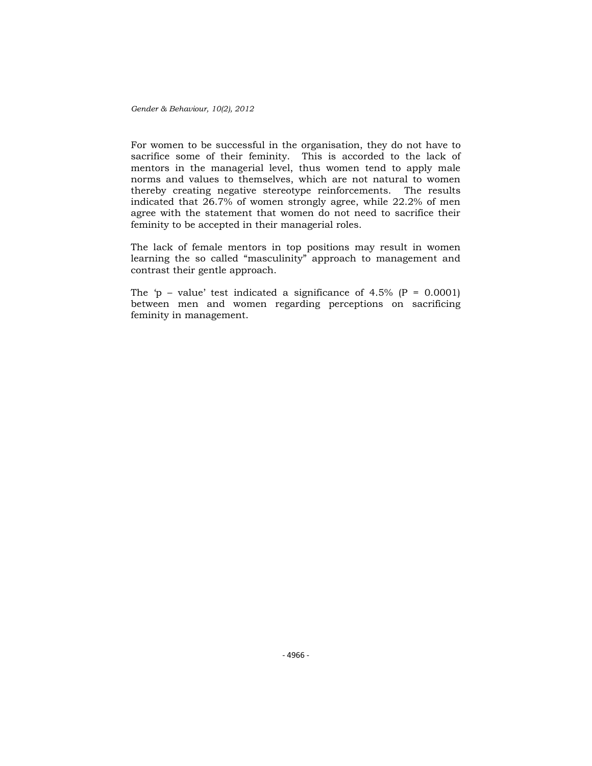For women to be successful in the organisation, they do not have to sacrifice some of their feminity. This is accorded to the lack of mentors in the managerial level, thus women tend to apply male norms and values to themselves, which are not natural to women thereby creating negative stereotype reinforcements. The results indicated that 26.7% of women strongly agree, while 22.2% of men agree with the statement that women do not need to sacrifice their feminity to be accepted in their managerial roles.

The lack of female mentors in top positions may result in women learning the so called "masculinity" approach to management and contrast their gentle approach.

The 'p – value' test indicated a significance of 4.5% ( $P = 0.0001$ ) between men and women regarding perceptions on sacrificing feminity in management.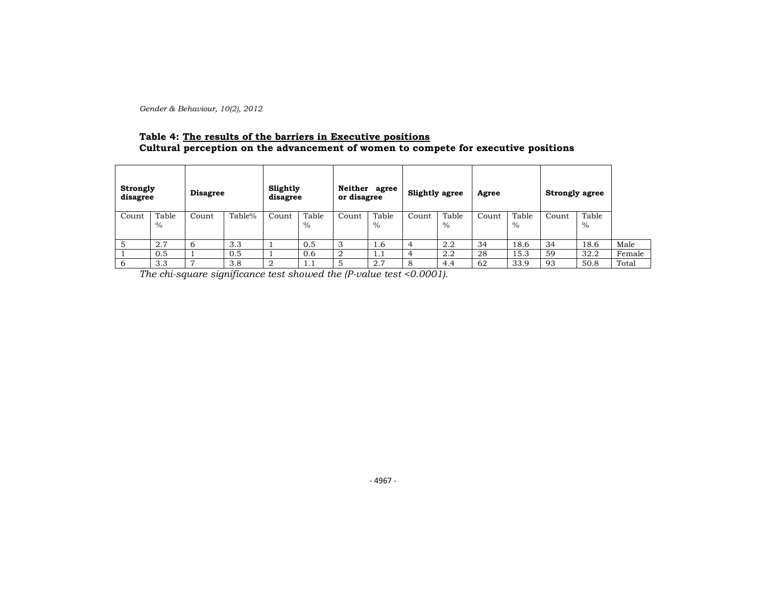## **Table 4: The results of the barriers in Executive positions Cultural perception on the advancement of women to compete for executive positions**

| Strongly<br>disagree |               | <b>Disagree</b> |        | Slightly<br>disagree |               | Neither agree<br>or disagree |                        | <b>Slightly agree</b> |               | Agree |               | <b>Strongly agree</b> |               |        |
|----------------------|---------------|-----------------|--------|----------------------|---------------|------------------------------|------------------------|-----------------------|---------------|-------|---------------|-----------------------|---------------|--------|
| Count                | Table<br>$\%$ | Count           | Table% | Count                | Table<br>$\%$ | Count                        | Table<br>$\frac{0}{0}$ | Count                 | Table<br>$\%$ | Count | Table<br>$\%$ | Count                 | Table<br>$\%$ |        |
|                      | 2.7           | 6               | 3.3    |                      | 0.5           |                              | 1.6                    | 4                     | 2.2           | 34    | 18.6          | 34                    | 18.6          | Male   |
|                      | 0.5           |                 | 0.5    |                      | 0.6           |                              | 1.1                    | 4                     | 2.2           | 28    | 15.3          | 59                    | 32.2          | Female |
| 6                    | 3.3           | $\overline{ }$  | 3.8    |                      | 1.1           |                              | 2.7                    | 8                     | 4.4           | 62    | 33.9          | 93                    | 50.8          | Total  |

*The chi-square significance test showed the (P-value test <0.0001).*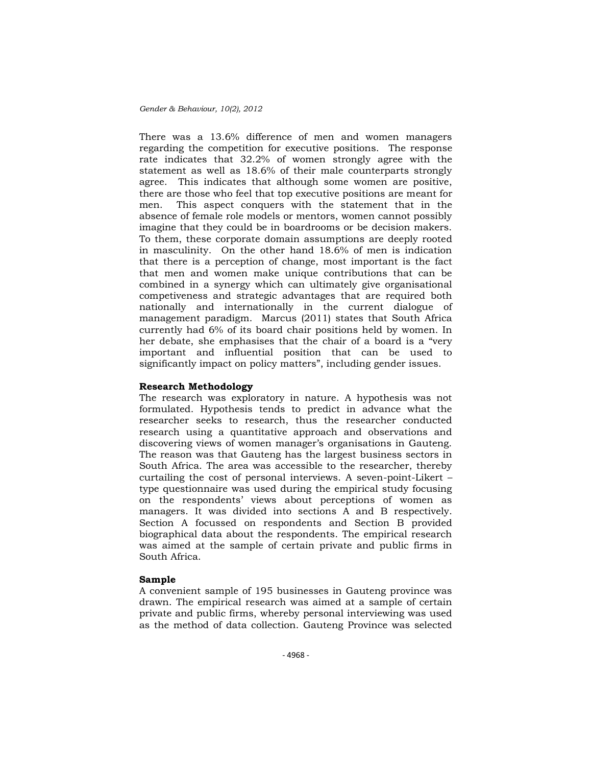There was a 13.6% difference of men and women managers regarding the competition for executive positions. The response rate indicates that 32.2% of women strongly agree with the statement as well as 18.6% of their male counterparts strongly agree. This indicates that although some women are positive, there are those who feel that top executive positions are meant for men. This aspect conquers with the statement that in the absence of female role models or mentors, women cannot possibly imagine that they could be in boardrooms or be decision makers. To them, these corporate domain assumptions are deeply rooted in masculinity. On the other hand 18.6% of men is indication that there is a perception of change, most important is the fact that men and women make unique contributions that can be combined in a synergy which can ultimately give organisational competiveness and strategic advantages that are required both nationally and internationally in the current dialogue of management paradigm. Marcus (2011) states that South Africa currently had 6% of its board chair positions held by women. In her debate, she emphasises that the chair of a board is a "very important and influential position that can be used to significantly impact on policy matters", including gender issues.

### **Research Methodology**

The research was exploratory in nature. A hypothesis was not formulated. Hypothesis tends to predict in advance what the researcher seeks to research, thus the researcher conducted research using a quantitative approach and observations and discovering views of women manager's organisations in Gauteng. The reason was that Gauteng has the largest business sectors in South Africa. The area was accessible to the researcher, thereby curtailing the cost of personal interviews. A seven-point-Likert – type questionnaire was used during the empirical study focusing on the respondents' views about perceptions of women as managers. It was divided into sections A and B respectively. Section A focussed on respondents and Section B provided biographical data about the respondents. The empirical research was aimed at the sample of certain private and public firms in South Africa.

### **Sample**

A convenient sample of 195 businesses in Gauteng province was drawn. The empirical research was aimed at a sample of certain private and public firms, whereby personal interviewing was used as the method of data collection. Gauteng Province was selected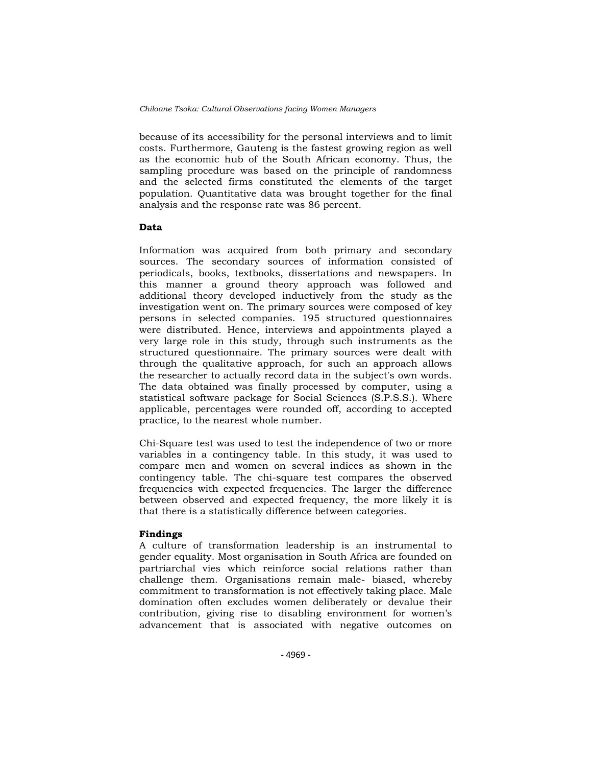because of its accessibility for the personal interviews and to limit costs. Furthermore, Gauteng is the fastest growing region as well as the economic hub of the South African economy. Thus, the sampling procedure was based on the principle of randomness and the selected firms constituted the elements of the target population. Quantitative data was brought together for the final analysis and the response rate was 86 percent.

### **Data**

Information was acquired from both primary and secondary sources. The secondary sources of information consisted of periodicals, books, textbooks, dissertations and newspapers. In this manner a ground theory approach was followed and additional theory developed inductively from the study as the investigation went on. The primary sources were composed of key persons in selected companies. 195 structured questionnaires were distributed. Hence, interviews and appointments played a very large role in this study, through such instruments as the structured questionnaire. The primary sources were dealt with through the qualitative approach, for such an approach allows the researcher to actually record data in the subject's own words. The data obtained was finally processed by computer, using a statistical software package for Social Sciences (S.P.S.S.). Where applicable, percentages were rounded off, according to accepted practice, to the nearest whole number.

Chi-Square test was used to test the independence of two or more variables in a contingency table. In this study, it was used to compare men and women on several indices as shown in the contingency table. The chi-square test compares the observed frequencies with expected frequencies. The larger the difference between observed and expected frequency, the more likely it is that there is a statistically difference between categories.

### **Findings**

A culture of transformation leadership is an instrumental to gender equality. Most organisation in South Africa are founded on partriarchal vies which reinforce social relations rather than challenge them. Organisations remain male- biased, whereby commitment to transformation is not effectively taking place. Male domination often excludes women deliberately or devalue their contribution, giving rise to disabling environment for women's advancement that is associated with negative outcomes on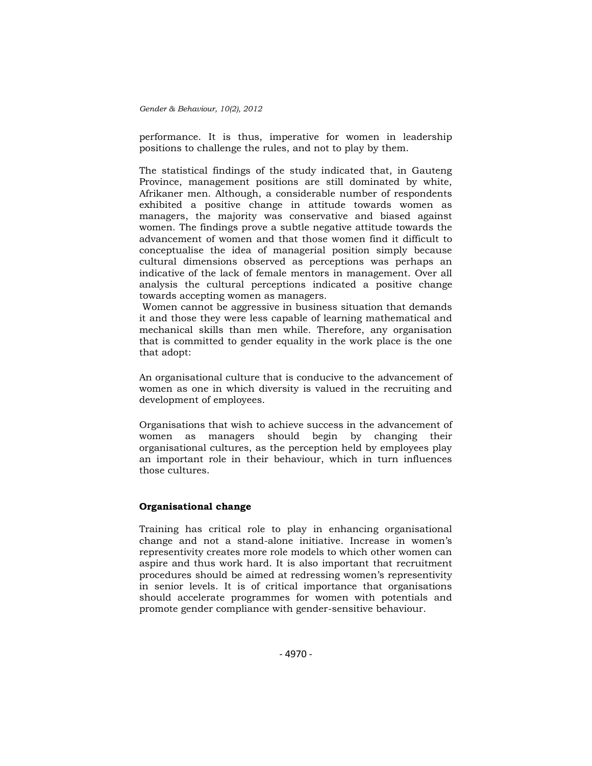performance. It is thus, imperative for women in leadership positions to challenge the rules, and not to play by them.

The statistical findings of the study indicated that, in Gauteng Province, management positions are still dominated by white, Afrikaner men. Although, a considerable number of respondents exhibited a positive change in attitude towards women as managers, the majority was conservative and biased against women. The findings prove a subtle negative attitude towards the advancement of women and that those women find it difficult to conceptualise the idea of managerial position simply because cultural dimensions observed as perceptions was perhaps an indicative of the lack of female mentors in management. Over all analysis the cultural perceptions indicated a positive change towards accepting women as managers.

Women cannot be aggressive in business situation that demands it and those they were less capable of learning mathematical and mechanical skills than men while. Therefore, any organisation that is committed to gender equality in the work place is the one that adopt:

An organisational culture that is conducive to the advancement of women as one in which diversity is valued in the recruiting and development of employees.

Organisations that wish to achieve success in the advancement of women as managers should begin by changing their organisational cultures, as the perception held by employees play an important role in their behaviour, which in turn influences those cultures.

### **Organisational change**

Training has critical role to play in enhancing organisational change and not a stand-alone initiative. Increase in women's representivity creates more role models to which other women can aspire and thus work hard. It is also important that recruitment procedures should be aimed at redressing women's representivity in senior levels. It is of critical importance that organisations should accelerate programmes for women with potentials and promote gender compliance with gender-sensitive behaviour.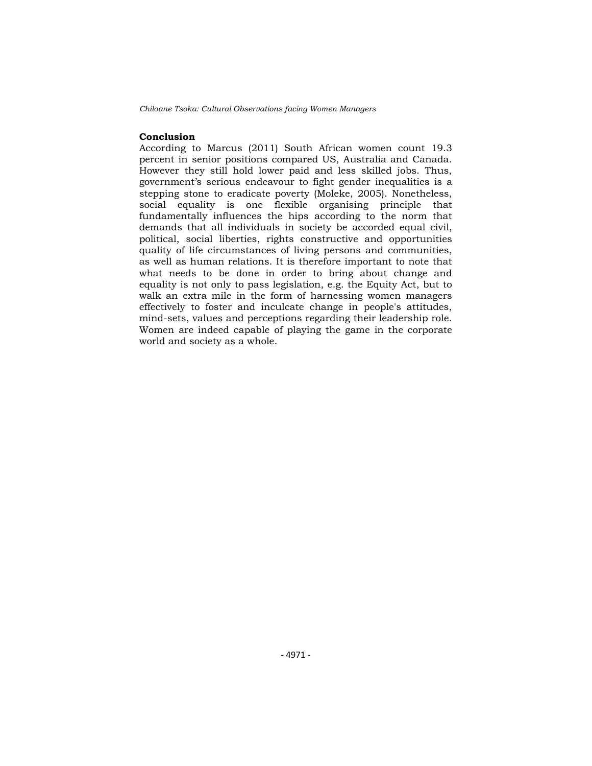### **Conclusion**

According to Marcus (2011) South African women count 19.3 percent in senior positions compared US, Australia and Canada. However they still hold lower paid and less skilled jobs. Thus, government's serious endeavour to fight gender inequalities is a stepping stone to eradicate poverty (Moleke, 2005). Nonetheless, social equality is one flexible organising principle that fundamentally influences the hips according to the norm that demands that all individuals in society be accorded equal civil, political, social liberties, rights constructive and opportunities quality of life circumstances of living persons and communities, as well as human relations. It is therefore important to note that what needs to be done in order to bring about change and equality is not only to pass legislation, e.g. the Equity Act, but to walk an extra mile in the form of harnessing women managers effectively to foster and inculcate change in people's attitudes, mind-sets, values and perceptions regarding their leadership role. Women are indeed capable of playing the game in the corporate world and society as a whole.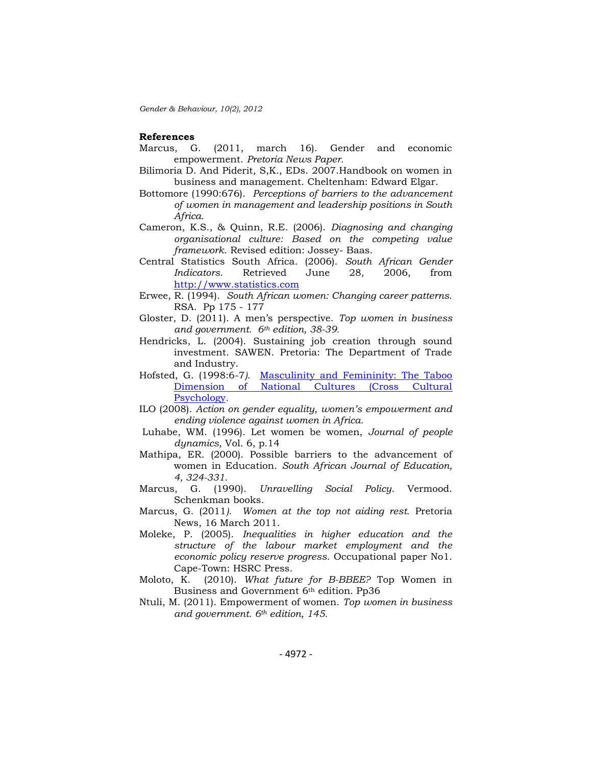#### **References**

- Marcus, G. (2011, march 16). Gender and economic empowerment. *Pretoria News Paper.*
- Bilimoria D. And Piderit, S,K., EDs. 2007.Handbook on women in business and management. Cheltenham: Edward Elgar.
- Bottomore (1990:676). *Perceptions of barriers to the advancement of women in management and leadership positions in South Africa.*
- Cameron, K.S., & Quinn, R.E. (2006). *Diagnosing and changing organisational culture: Based on the competing value framework*. Revised edition: Jossey- Baas.
- Central Statistics South Africa. (2006). *South African Gender Indicators*. Retrieved June 28, 2006, from [http://www.statistics.com](http://www.statistics.com/)
- Erwee, R. (1994). *South African women: Changing career patterns.*  RSA. Pp 175 - 177
- Gloster, D. (2011). A men's perspective. *Top women in business and government. 6th edition, 38-39.*
- Hendricks, L. (2004). Sustaining job creation through sound investment. SAWEN. Pretoria: The Department of Trade and Industry.
- Hofsted, G. (1998:6-7*).* [Masculinity and Femininity: The Taboo](http://www.amazon.com/gp/product/076191028X?ie=UTF8&tag=wwwgeerthofst-20&linkCode=as2&camp=1789&creative=9325&creativeASIN=076191028X)  [Dimension of National Cultures \(Cross Cultural](http://www.amazon.com/gp/product/076191028X?ie=UTF8&tag=wwwgeerthofst-20&linkCode=as2&camp=1789&creative=9325&creativeASIN=076191028X)  [Psychology](http://www.amazon.com/gp/product/076191028X?ie=UTF8&tag=wwwgeerthofst-20&linkCode=as2&camp=1789&creative=9325&creativeASIN=076191028X)*.*
- ILO (2008). *Action on gender equality, women"s empowerment and ending violence against women in Africa.*
- Luhabe, WM. (1996). Let women be women, *Journal of people dynamics*, Vol. 6, p.14
- Mathipa, ER. (2000). Possible barriers to the advancement of women in Education. *South African Journal of Education, 4, 324-331.*
- Marcus, G. (1990). *Unravelling Social Policy*. Vermood. Schenkman books.
- Marcus, G. (2011*). Women at the top not aiding rest.* Pretoria News, 16 March 2011.
- Moleke, P. (2005). *Inequalities in higher education and the structure of the labour market employment and the economic policy reserve progress*. Occupational paper No1. Cape-Town: HSRC Press.
- Moloto, K. (2010). *What future for B-BBEE?* Top Women in Business and Government 6th edition. Pp36
- Ntuli, M. (2011). Empowerment of women. *Top women in business and government. 6th edition, 145.*